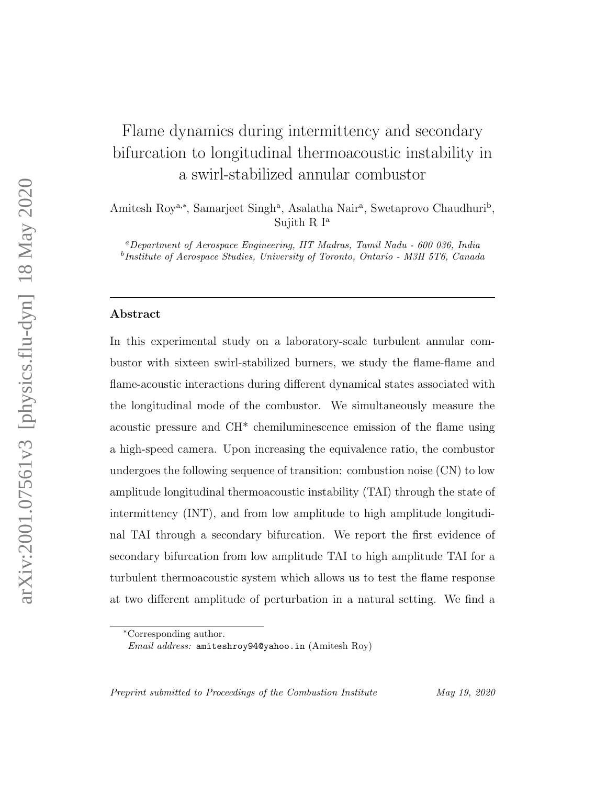# Flame dynamics during intermittency and secondary bifurcation to longitudinal thermoacoustic instability in a swirl-stabilized annular combustor

Amitesh Roy<sup>a,\*</sup>, Samarjeet Singh<sup>a</sup>, Asalatha Nair<sup>a</sup>, Swetaprovo Chaudhuri<sup>b</sup>, Sujith R  $I^a$ 

<sup>a</sup>Department of Aerospace Engineering, IIT Madras, Tamil Nadu - 600 036, India b Institute of Aerospace Studies, University of Toronto, Ontario - M3H 5T6, Canada

#### Abstract

In this experimental study on a laboratory-scale turbulent annular combustor with sixteen swirl-stabilized burners, we study the flame-flame and flame-acoustic interactions during different dynamical states associated with the longitudinal mode of the combustor. We simultaneously measure the acoustic pressure and CH\* chemiluminescence emission of the flame using a high-speed camera. Upon increasing the equivalence ratio, the combustor undergoes the following sequence of transition: combustion noise (CN) to low amplitude longitudinal thermoacoustic instability (TAI) through the state of intermittency (INT), and from low amplitude to high amplitude longitudinal TAI through a secondary bifurcation. We report the first evidence of secondary bifurcation from low amplitude TAI to high amplitude TAI for a turbulent thermoacoustic system which allows us to test the flame response at two different amplitude of perturbation in a natural setting. We find a

Preprint submitted to Proceedings of the Combustion Institute May 19, 2020

<sup>∗</sup>Corresponding author.

Email address: amiteshroy94@yahoo.in (Amitesh Roy)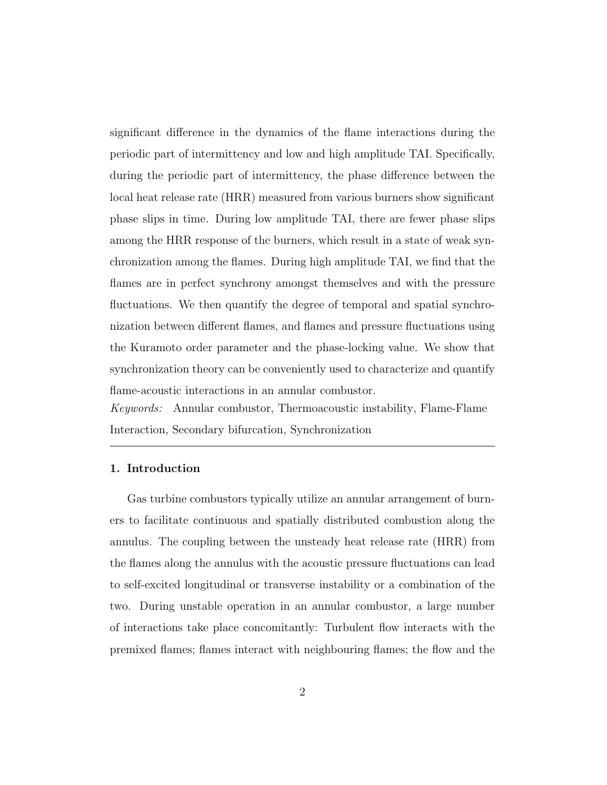significant difference in the dynamics of the flame interactions during the periodic part of intermittency and low and high amplitude TAI. Specifically, during the periodic part of intermittency, the phase difference between the local heat release rate (HRR) measured from various burners show significant phase slips in time. During low amplitude TAI, there are fewer phase slips among the HRR response of the burners, which result in a state of weak synchronization among the flames. During high amplitude TAI, we find that the flames are in perfect synchrony amongst themselves and with the pressure fluctuations. We then quantify the degree of temporal and spatial synchronization between different flames, and flames and pressure fluctuations using the Kuramoto order parameter and the phase-locking value. We show that synchronization theory can be conveniently used to characterize and quantify flame-acoustic interactions in an annular combustor.

Keywords: Annular combustor, Thermoacoustic instability, Flame-Flame Interaction, Secondary bifurcation, Synchronization

## 1. Introduction

Gas turbine combustors typically utilize an annular arrangement of burners to facilitate continuous and spatially distributed combustion along the annulus. The coupling between the unsteady heat release rate (HRR) from the flames along the annulus with the acoustic pressure fluctuations can lead to self-excited longitudinal or transverse instability or a combination of the two. During unstable operation in an annular combustor, a large number of interactions take place concomitantly: Turbulent flow interacts with the premixed flames; flames interact with neighbouring flames; the flow and the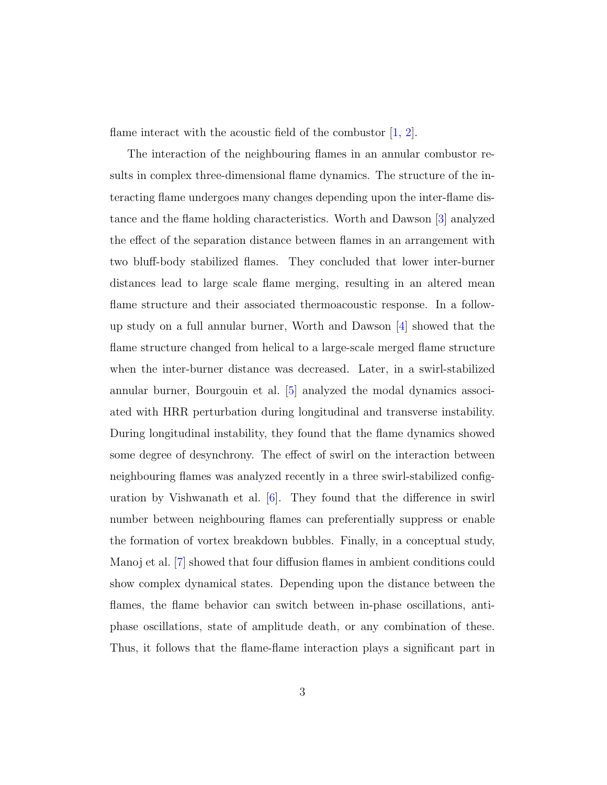flame interact with the acoustic field of the combustor  $[1, 2]$ .

The interaction of the neighbouring flames in an annular combustor results in complex three-dimensional flame dynamics. The structure of the interacting flame undergoes many changes depending upon the inter-flame distance and the flame holding characteristics. Worth and Dawson [3] analyzed the effect of the separation distance between flames in an arrangement with two bluff-body stabilized flames. They concluded that lower inter-burner distances lead to large scale flame merging, resulting in an altered mean flame structure and their associated thermoacoustic response. In a followup study on a full annular burner, Worth and Dawson  $\vert 4 \vert$  showed that the flame structure changed from helical to a large-scale merged flame structure when the inter-burner distance was decreased. Later, in a swirl-stabilized annular burner, Bourgouin et al. [5] analyzed the modal dynamics associated with HRR perturbation during longitudinal and transverse instability. During longitudinal instability, they found that the flame dynamics showed some degree of desynchrony. The effect of swirl on the interaction between neighbouring flames was analyzed recently in a three swirl-stabilized configuration by Vishwanath et al.  $[6]$ . They found that the difference in swirl number between neighbouring flames can preferentially suppress or enable the formation of vortex breakdown bubbles. Finally, in a conceptual study, Manoj et al. [7] showed that four diffusion flames in ambient conditions could show complex dynamical states. Depending upon the distance between the flames, the flame behavior can switch between in-phase oscillations, antiphase oscillations, state of amplitude death, or any combination of these. Thus, it follows that the flame-flame interaction plays a significant part in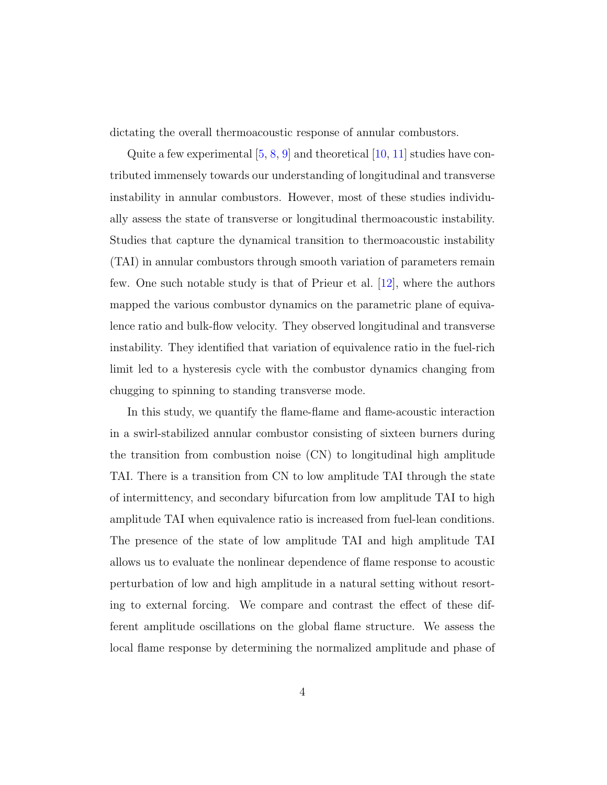dictating the overall thermoacoustic response of annular combustors.

Quite a few experimental  $[5, 8, 9]$  and theoretical  $[10, 11]$  studies have contributed immensely towards our understanding of longitudinal and transverse instability in annular combustors. However, most of these studies individually assess the state of transverse or longitudinal thermoacoustic instability. Studies that capture the dynamical transition to thermoacoustic instability (TAI) in annular combustors through smooth variation of parameters remain few. One such notable study is that of Prieur et al. [12], where the authors mapped the various combustor dynamics on the parametric plane of equivalence ratio and bulk-flow velocity. They observed longitudinal and transverse instability. They identified that variation of equivalence ratio in the fuel-rich limit led to a hysteresis cycle with the combustor dynamics changing from chugging to spinning to standing transverse mode.

In this study, we quantify the flame-flame and flame-acoustic interaction in a swirl-stabilized annular combustor consisting of sixteen burners during the transition from combustion noise (CN) to longitudinal high amplitude TAI. There is a transition from CN to low amplitude TAI through the state of intermittency, and secondary bifurcation from low amplitude TAI to high amplitude TAI when equivalence ratio is increased from fuel-lean conditions. The presence of the state of low amplitude TAI and high amplitude TAI allows us to evaluate the nonlinear dependence of flame response to acoustic perturbation of low and high amplitude in a natural setting without resorting to external forcing. We compare and contrast the effect of these different amplitude oscillations on the global flame structure. We assess the local flame response by determining the normalized amplitude and phase of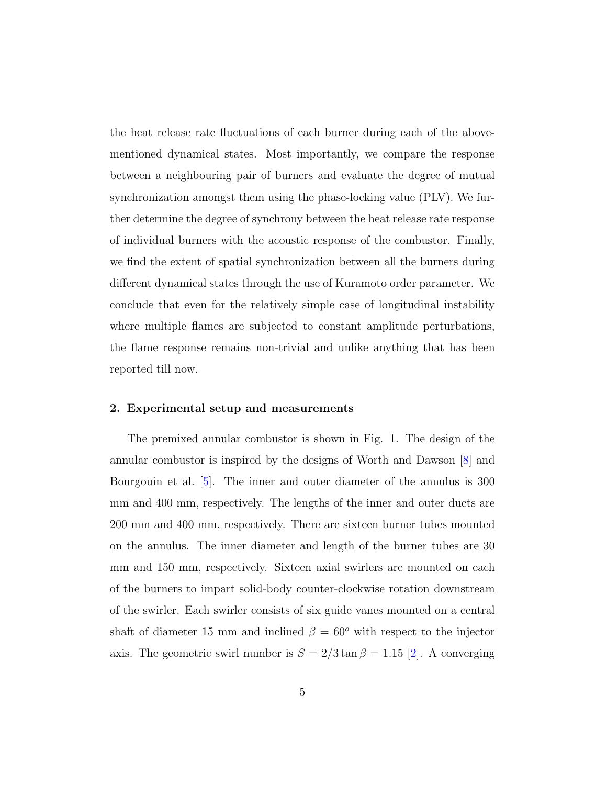the heat release rate fluctuations of each burner during each of the abovementioned dynamical states. Most importantly, we compare the response between a neighbouring pair of burners and evaluate the degree of mutual synchronization amongst them using the phase-locking value (PLV). We further determine the degree of synchrony between the heat release rate response of individual burners with the acoustic response of the combustor. Finally, we find the extent of spatial synchronization between all the burners during different dynamical states through the use of Kuramoto order parameter. We conclude that even for the relatively simple case of longitudinal instability where multiple flames are subjected to constant amplitude perturbations, the flame response remains non-trivial and unlike anything that has been reported till now.

## 2. Experimental setup and measurements

The premixed annular combustor is shown in Fig. 1. The design of the annular combustor is inspired by the designs of Worth and Dawson [8] and Bourgouin et al. [5]. The inner and outer diameter of the annulus is 300 mm and 400 mm, respectively. The lengths of the inner and outer ducts are 200 mm and 400 mm, respectively. There are sixteen burner tubes mounted on the annulus. The inner diameter and length of the burner tubes are 30 mm and 150 mm, respectively. Sixteen axial swirlers are mounted on each of the burners to impart solid-body counter-clockwise rotation downstream of the swirler. Each swirler consists of six guide vanes mounted on a central shaft of diameter 15 mm and inclined  $\beta = 60^{\circ}$  with respect to the injector axis. The geometric swirl number is  $S = 2/3 \tan \beta = 1.15$  [2]. A converging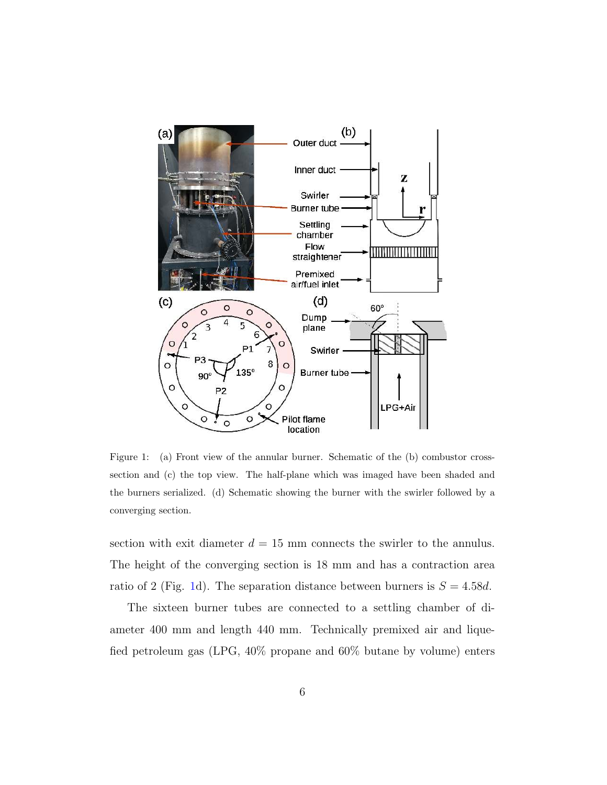

Figure 1: (a) Front view of the annular burner. Schematic of the (b) combustor crosssection and (c) the top view. The half-plane which was imaged have been shaded and the burners serialized. (d) Schematic showing the burner with the swirler followed by a converging section.

section with exit diameter  $d = 15$  mm connects the swirler to the annulus. The height of the converging section is 18 mm and has a contraction area ratio of 2 (Fig. 1d). The separation distance between burners is  $S = 4.58d$ .

The sixteen burner tubes are connected to a settling chamber of diameter 400 mm and length 440 mm. Technically premixed air and liquefied petroleum gas (LPG, 40% propane and 60% butane by volume) enters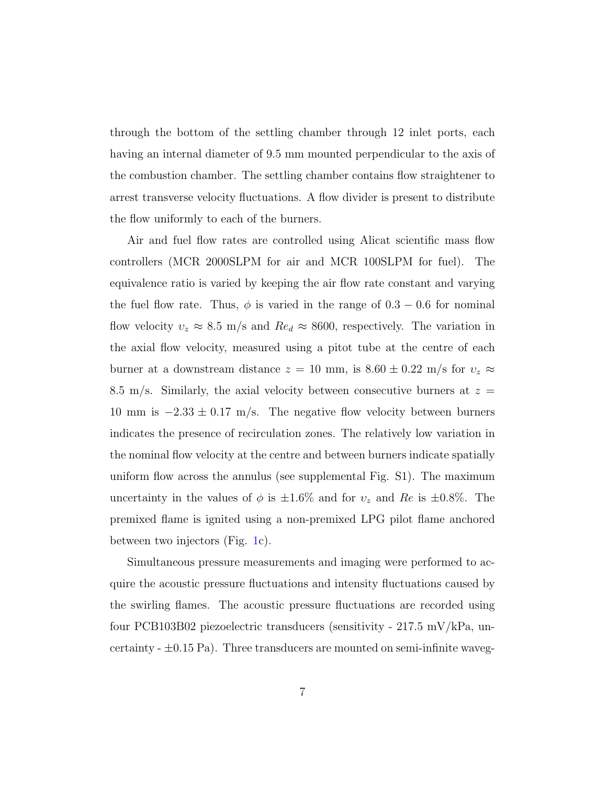through the bottom of the settling chamber through 12 inlet ports, each having an internal diameter of 9.5 mm mounted perpendicular to the axis of the combustion chamber. The settling chamber contains flow straightener to arrest transverse velocity fluctuations. A flow divider is present to distribute the flow uniformly to each of the burners.

Air and fuel flow rates are controlled using Alicat scientific mass flow controllers (MCR 2000SLPM for air and MCR 100SLPM for fuel). The equivalence ratio is varied by keeping the air flow rate constant and varying the fuel flow rate. Thus,  $\phi$  is varied in the range of  $0.3 - 0.6$  for nominal flow velocity  $v_z \approx 8.5 \text{ m/s}$  and  $Re_d \approx 8600$ , respectively. The variation in the axial flow velocity, measured using a pitot tube at the centre of each burner at a downstream distance  $z = 10$  mm, is  $8.60 \pm 0.22$  m/s for  $v_z \approx$ 8.5 m/s. Similarly, the axial velocity between consecutive burners at  $z =$ 10 mm is  $-2.33 \pm 0.17$  m/s. The negative flow velocity between burners indicates the presence of recirculation zones. The relatively low variation in the nominal flow velocity at the centre and between burners indicate spatially uniform flow across the annulus (see supplemental Fig. S1). The maximum uncertainty in the values of  $\phi$  is  $\pm 1.6\%$  and for  $v_z$  and Re is  $\pm 0.8\%$ . The premixed flame is ignited using a non-premixed LPG pilot flame anchored between two injectors (Fig. 1c).

Simultaneous pressure measurements and imaging were performed to acquire the acoustic pressure fluctuations and intensity fluctuations caused by the swirling flames. The acoustic pressure fluctuations are recorded using four PCB103B02 piezoelectric transducers (sensitivity - 217.5 mV/kPa, uncertainty  $- \pm 0.15$  Pa). Three transducers are mounted on semi-infinite waveg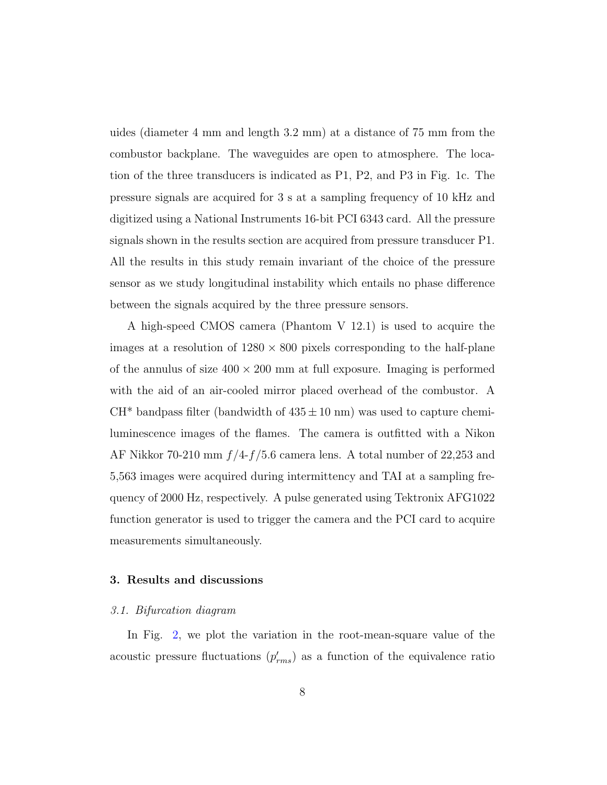uides (diameter 4 mm and length 3.2 mm) at a distance of 75 mm from the combustor backplane. The waveguides are open to atmosphere. The location of the three transducers is indicated as P1, P2, and P3 in Fig. 1c. The pressure signals are acquired for 3 s at a sampling frequency of 10 kHz and digitized using a National Instruments 16-bit PCI 6343 card. All the pressure signals shown in the results section are acquired from pressure transducer P1. All the results in this study remain invariant of the choice of the pressure sensor as we study longitudinal instability which entails no phase difference between the signals acquired by the three pressure sensors.

A high-speed CMOS camera (Phantom V 12.1) is used to acquire the images at a resolution of  $1280 \times 800$  pixels corresponding to the half-plane of the annulus of size  $400 \times 200$  mm at full exposure. Imaging is performed with the aid of an air-cooled mirror placed overhead of the combustor. A  $CH^*$  bandpass filter (bandwidth of  $435 \pm 10$  nm) was used to capture chemiluminescence images of the flames. The camera is outfitted with a Nikon AF Nikkor 70-210 mm  $f/4-f/5.6$  camera lens. A total number of 22,253 and 5,563 images were acquired during intermittency and TAI at a sampling frequency of 2000 Hz, respectively. A pulse generated using Tektronix AFG1022 function generator is used to trigger the camera and the PCI card to acquire measurements simultaneously.

# 3. Results and discussions

## 3.1. Bifurcation diagram

In Fig. 2, we plot the variation in the root-mean-square value of the acoustic pressure fluctuations  $(p'_{rms})$  as a function of the equivalence ratio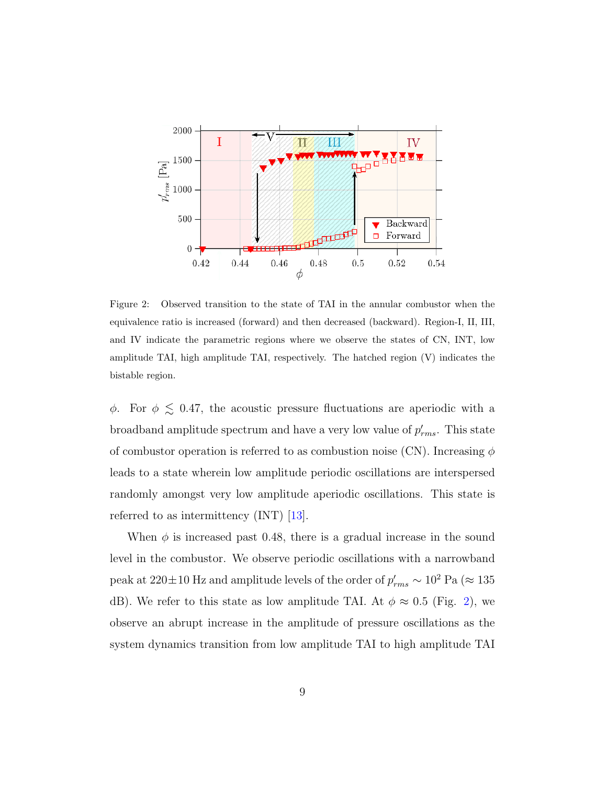

Figure 2: Observed transition to the state of TAI in the annular combustor when the equivalence ratio is increased (forward) and then decreased (backward). Region-I, II, III, and IV indicate the parametric regions where we observe the states of CN, INT, low amplitude TAI, high amplitude TAI, respectively. The hatched region (V) indicates the bistable region.

 $\phi$ . For  $\phi \lesssim 0.47$ , the acoustic pressure fluctuations are aperiodic with a broadband amplitude spectrum and have a very low value of  $p'_{rms}$ . This state of combustor operation is referred to as combustion noise (CN). Increasing  $\phi$ leads to a state wherein low amplitude periodic oscillations are interspersed randomly amongst very low amplitude aperiodic oscillations. This state is referred to as intermittency (INT) [13].

When  $\phi$  is increased past 0.48, there is a gradual increase in the sound level in the combustor. We observe periodic oscillations with a narrowband peak at 220±10 Hz and amplitude levels of the order of  $p'_{rms} \sim 10^2$  Pa ( $\approx 135$ dB). We refer to this state as low amplitude TAI. At  $\phi \approx 0.5$  (Fig. 2), we observe an abrupt increase in the amplitude of pressure oscillations as the system dynamics transition from low amplitude TAI to high amplitude TAI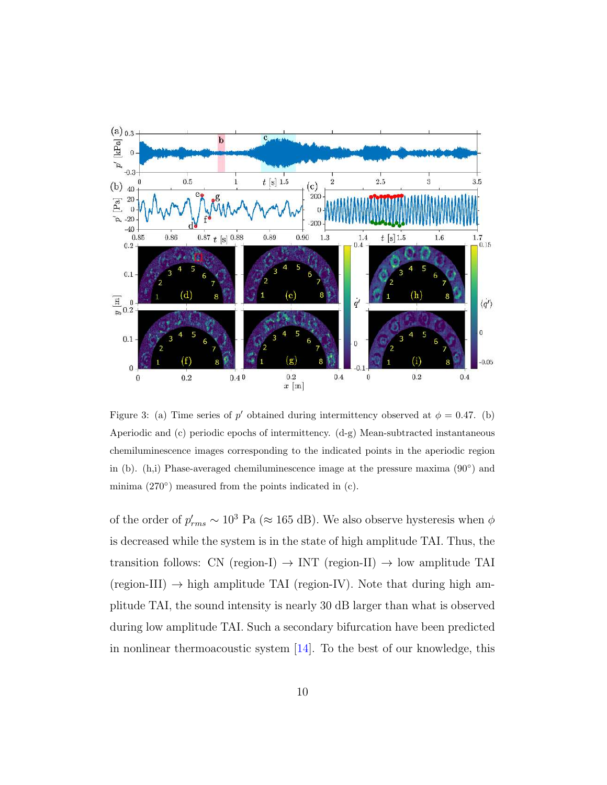

Figure 3: (a) Time series of p' obtained during intermittency observed at  $\phi = 0.47$ . (b) Aperiodic and (c) periodic epochs of intermittency. (d-g) Mean-subtracted instantaneous chemiluminescence images corresponding to the indicated points in the aperiodic region in (b). (h,i) Phase-averaged chemiluminescence image at the pressure maxima (90◦ ) and minima (270°) measured from the points indicated in (c).

of the order of  $p'_{rms} \sim 10^3$  Pa (≈ 165 dB). We also observe hysteresis when  $\phi$ is decreased while the system is in the state of high amplitude TAI. Thus, the transition follows: CN (region-I)  $\rightarrow$  INT (region-II)  $\rightarrow$  low amplitude TAI (region-III)  $\rightarrow$  high amplitude TAI (region-IV). Note that during high amplitude TAI, the sound intensity is nearly 30 dB larger than what is observed during low amplitude TAI. Such a secondary bifurcation have been predicted in nonlinear thermoacoustic system [14]. To the best of our knowledge, this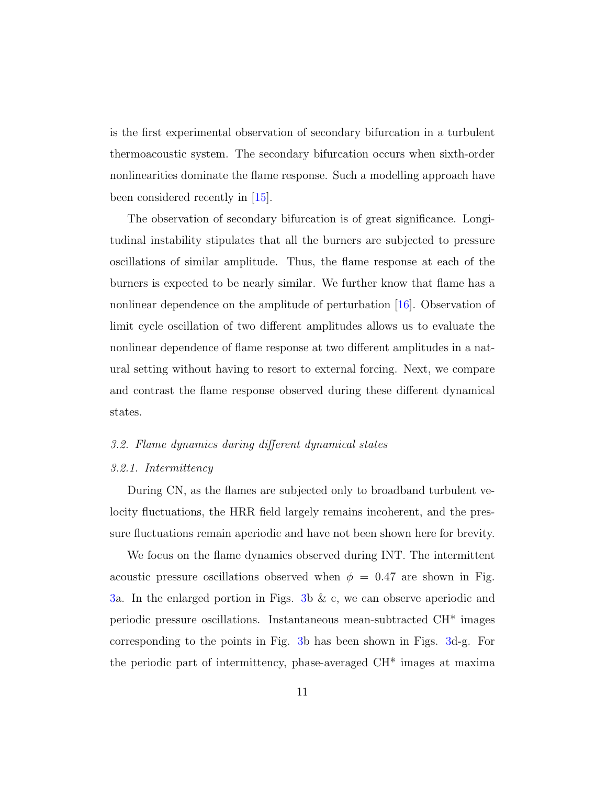is the first experimental observation of secondary bifurcation in a turbulent thermoacoustic system. The secondary bifurcation occurs when sixth-order nonlinearities dominate the flame response. Such a modelling approach have been considered recently in [15].

The observation of secondary bifurcation is of great significance. Longitudinal instability stipulates that all the burners are subjected to pressure oscillations of similar amplitude. Thus, the flame response at each of the burners is expected to be nearly similar. We further know that flame has a nonlinear dependence on the amplitude of perturbation [16]. Observation of limit cycle oscillation of two different amplitudes allows us to evaluate the nonlinear dependence of flame response at two different amplitudes in a natural setting without having to resort to external forcing. Next, we compare and contrast the flame response observed during these different dynamical states.

## 3.2. Flame dynamics during different dynamical states

## 3.2.1. Intermittency

During CN, as the flames are subjected only to broadband turbulent velocity fluctuations, the HRR field largely remains incoherent, and the pressure fluctuations remain aperiodic and have not been shown here for brevity.

We focus on the flame dynamics observed during INT. The intermittent acoustic pressure oscillations observed when  $\phi = 0.47$  are shown in Fig. 3a. In the enlarged portion in Figs. 3b & c, we can observe aperiodic and periodic pressure oscillations. Instantaneous mean-subtracted CH\* images corresponding to the points in Fig. 3b has been shown in Figs. 3d-g. For the periodic part of intermittency, phase-averaged CH\* images at maxima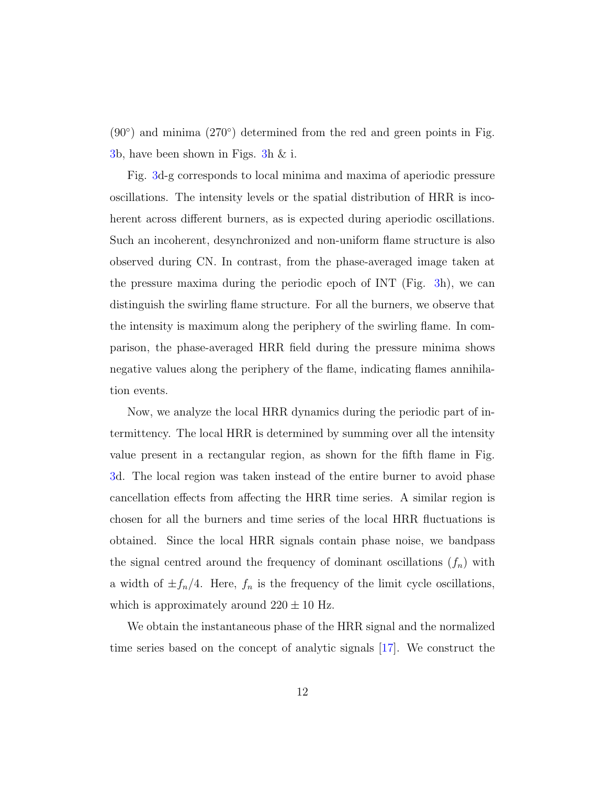$(90°)$  and minima  $(270°)$  determined from the red and green points in Fig. 3b, have been shown in Figs. 3h & i.

Fig. 3d-g corresponds to local minima and maxima of aperiodic pressure oscillations. The intensity levels or the spatial distribution of HRR is incoherent across different burners, as is expected during aperiodic oscillations. Such an incoherent, desynchronized and non-uniform flame structure is also observed during CN. In contrast, from the phase-averaged image taken at the pressure maxima during the periodic epoch of INT (Fig. 3h), we can distinguish the swirling flame structure. For all the burners, we observe that the intensity is maximum along the periphery of the swirling flame. In comparison, the phase-averaged HRR field during the pressure minima shows negative values along the periphery of the flame, indicating flames annihilation events.

Now, we analyze the local HRR dynamics during the periodic part of intermittency. The local HRR is determined by summing over all the intensity value present in a rectangular region, as shown for the fifth flame in Fig. 3d. The local region was taken instead of the entire burner to avoid phase cancellation effects from affecting the HRR time series. A similar region is chosen for all the burners and time series of the local HRR fluctuations is obtained. Since the local HRR signals contain phase noise, we bandpass the signal centred around the frequency of dominant oscillations  $(f_n)$  with a width of  $\pm f_n/4$ . Here,  $f_n$  is the frequency of the limit cycle oscillations, which is approximately around  $220 \pm 10$  Hz.

We obtain the instantaneous phase of the HRR signal and the normalized time series based on the concept of analytic signals [17]. We construct the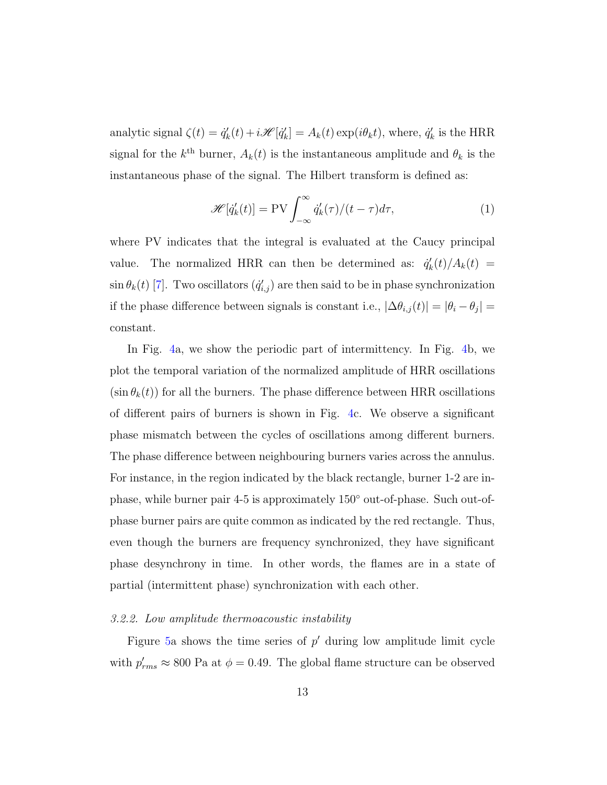analytic signal  $\zeta(t) = \dot{q}'_k$  $k'(t) + i\mathscr{H}[\dot{q}_k']$  $k'$ <sub>k</sub> $] = A_k(t) \exp(i\theta_k t)$ , where,  $\dot{q}'_k$  $'_{k}$  is the HRR signal for the  $k^{\text{th}}$  burner,  $A_k(t)$  is the instantaneous amplitude and  $\theta_k$  is the instantaneous phase of the signal. The Hilbert transform is defined as:

$$
\mathscr{H}[\dot{q}'_k(t)] = \text{PV}\int_{-\infty}^{\infty} \dot{q}'_k(\tau)/(t-\tau)d\tau,\tag{1}
$$

where PV indicates that the integral is evaluated at the Caucy principal value. The normalized HRR can then be determined as:  $\dot{q}_k'$  $k'_{k}(t)/A_{k}(t) =$  $\sin \theta_k(t)$  [7]. Two oscillators  $(\dot{q}'_{i,j})$  are then said to be in phase synchronization if the phase difference between signals is constant i.e.,  $|\Delta \theta_{i,j}(t)| = |\theta_i - \theta_j|$ constant.

In Fig. 4a, we show the periodic part of intermittency. In Fig. 4b, we plot the temporal variation of the normalized amplitude of HRR oscillations  $(\sin \theta_k(t))$  for all the burners. The phase difference between HRR oscillations of different pairs of burners is shown in Fig. 4c. We observe a significant phase mismatch between the cycles of oscillations among different burners. The phase difference between neighbouring burners varies across the annulus. For instance, in the region indicated by the black rectangle, burner 1-2 are inphase, while burner pair 4-5 is approximately 150◦ out-of-phase. Such out-ofphase burner pairs are quite common as indicated by the red rectangle. Thus, even though the burners are frequency synchronized, they have significant phase desynchrony in time. In other words, the flames are in a state of partial (intermittent phase) synchronization with each other.

#### 3.2.2. Low amplitude thermoacoustic instability

Figure 5a shows the time series of  $p'$  during low amplitude limit cycle with  $p'_{rms} \approx 800$  Pa at  $\phi = 0.49$ . The global flame structure can be observed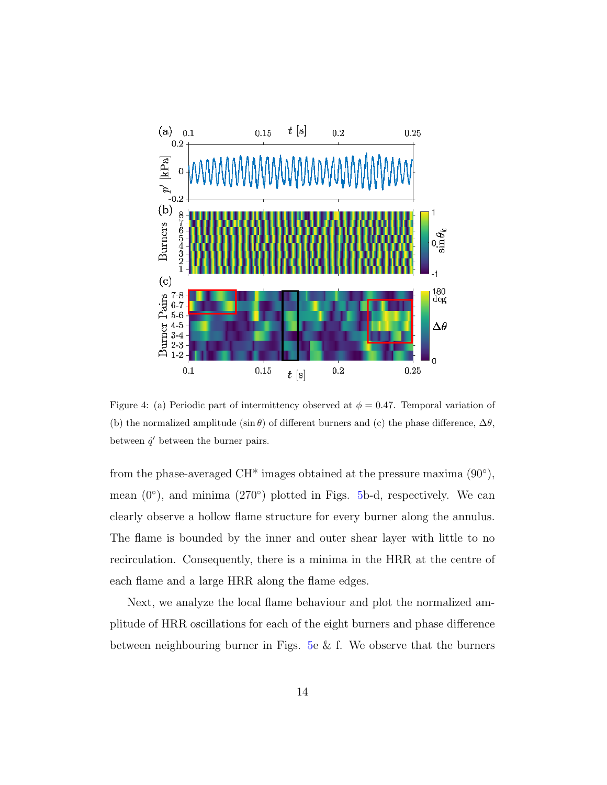

Figure 4: (a) Periodic part of intermittency observed at  $\phi = 0.47$ . Temporal variation of (b) the normalized amplitude (sin  $\theta$ ) of different burners and (c) the phase difference,  $\Delta\theta$ , between  $\dot{q}'$  between the burner pairs.

from the phase-averaged CH<sup>\*</sup> images obtained at the pressure maxima  $(90^{\circ})$ , mean  $(0^{\circ})$ , and minima  $(270^{\circ})$  plotted in Figs. 5b-d, respectively. We can clearly observe a hollow flame structure for every burner along the annulus. The flame is bounded by the inner and outer shear layer with little to no recirculation. Consequently, there is a minima in the HRR at the centre of each flame and a large HRR along the flame edges.

Next, we analyze the local flame behaviour and plot the normalized amplitude of HRR oscillations for each of the eight burners and phase difference between neighbouring burner in Figs. 5e  $\&$  f. We observe that the burners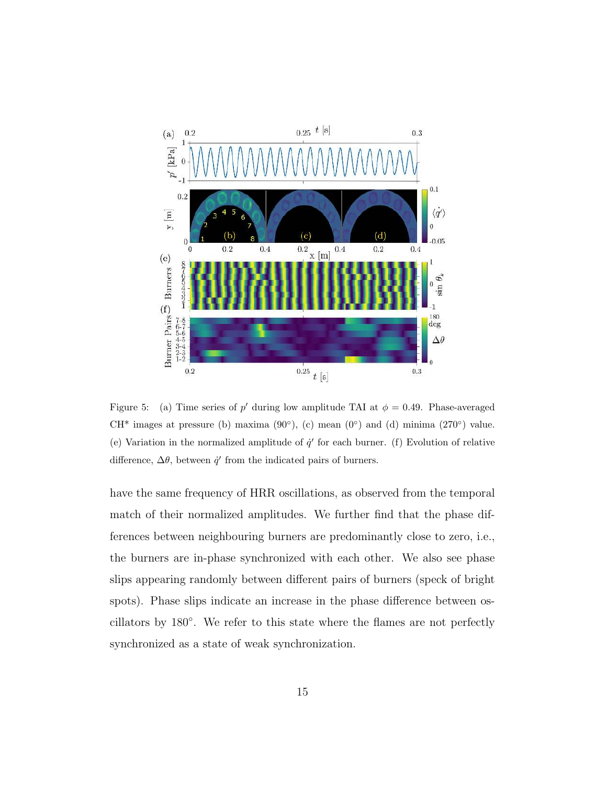

Figure 5: (a) Time series of p' during low amplitude TAI at  $\phi = 0.49$ . Phase-averaged CH<sup>\*</sup> images at pressure (b) maxima  $(90^{\circ})$ , (c) mean  $(0^{\circ})$  and (d) minima  $(270^{\circ})$  value. (e) Variation in the normalized amplitude of  $\dot{q}'$  for each burner. (f) Evolution of relative difference,  $\Delta\theta$ , between  $\dot{q}'$  from the indicated pairs of burners.

have the same frequency of HRR oscillations, as observed from the temporal match of their normalized amplitudes. We further find that the phase differences between neighbouring burners are predominantly close to zero, i.e., the burners are in-phase synchronized with each other. We also see phase slips appearing randomly between different pairs of burners (speck of bright spots). Phase slips indicate an increase in the phase difference between oscillators by 180◦ . We refer to this state where the flames are not perfectly synchronized as a state of weak synchronization.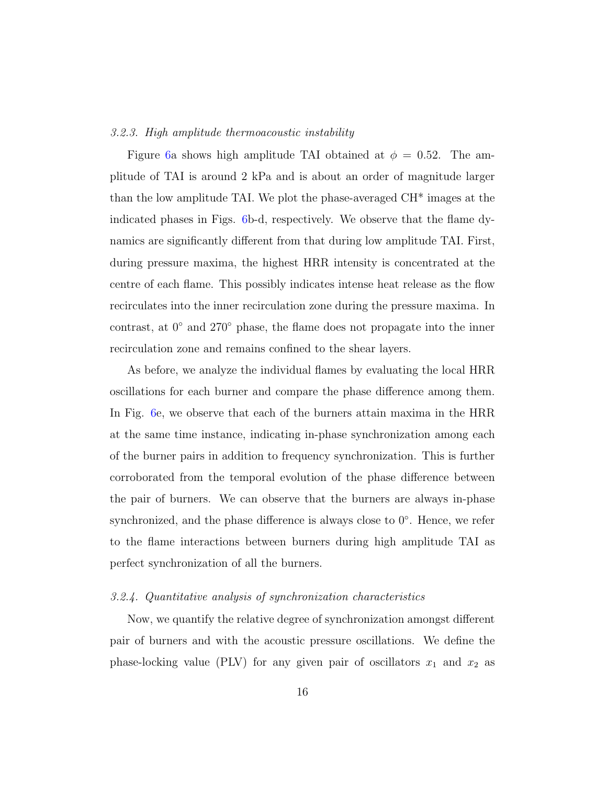#### 3.2.3. High amplitude thermoacoustic instability

Figure 6a shows high amplitude TAI obtained at  $\phi = 0.52$ . The amplitude of TAI is around 2 kPa and is about an order of magnitude larger than the low amplitude TAI. We plot the phase-averaged CH\* images at the indicated phases in Figs. 6b-d, respectively. We observe that the flame dynamics are significantly different from that during low amplitude TAI. First, during pressure maxima, the highest HRR intensity is concentrated at the centre of each flame. This possibly indicates intense heat release as the flow recirculates into the inner recirculation zone during the pressure maxima. In contrast, at 0◦ and 270◦ phase, the flame does not propagate into the inner recirculation zone and remains confined to the shear layers.

As before, we analyze the individual flames by evaluating the local HRR oscillations for each burner and compare the phase difference among them. In Fig. 6e, we observe that each of the burners attain maxima in the HRR at the same time instance, indicating in-phase synchronization among each of the burner pairs in addition to frequency synchronization. This is further corroborated from the temporal evolution of the phase difference between the pair of burners. We can observe that the burners are always in-phase synchronized, and the phase difference is always close to 0<sup>°</sup>. Hence, we refer to the flame interactions between burners during high amplitude TAI as perfect synchronization of all the burners.

#### 3.2.4. Quantitative analysis of synchronization characteristics

Now, we quantify the relative degree of synchronization amongst different pair of burners and with the acoustic pressure oscillations. We define the phase-locking value (PLV) for any given pair of oscillators  $x_1$  and  $x_2$  as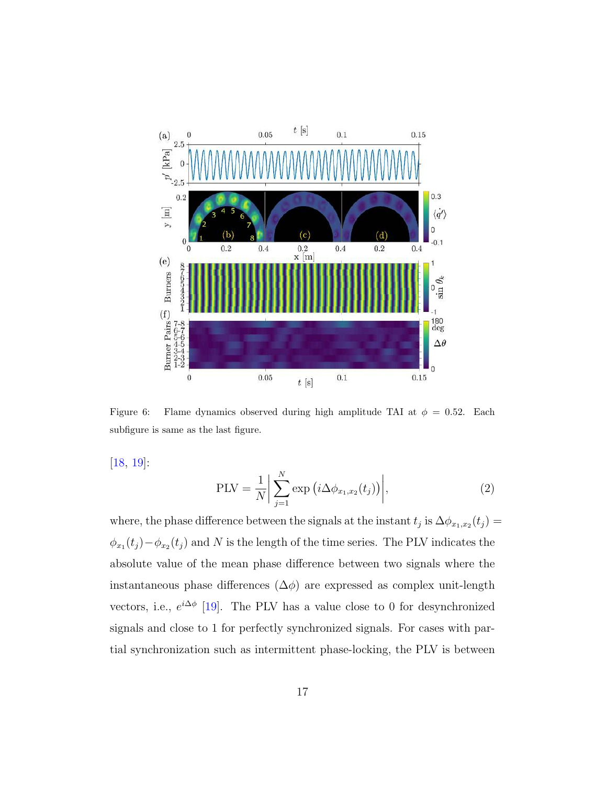

Figure 6: Flame dynamics observed during high amplitude TAI at  $\phi = 0.52$ . Each subfigure is same as the last figure.

[18, 19]:

$$
PLV = \frac{1}{N} \left| \sum_{j=1}^{N} \exp\left(i\Delta\phi_{x_1, x_2}(t_j)\right) \right|,
$$
\n(2)

where, the phase difference between the signals at the instant  $t_j$  is  $\Delta \phi_{x_1,x_2}(t_j) =$  $\phi_{x_1}(t_j) - \phi_{x_2}(t_j)$  and N is the length of the time series. The PLV indicates the absolute value of the mean phase difference between two signals where the instantaneous phase differences  $(\Delta \phi)$  are expressed as complex unit-length vectors, i.e.,  $e^{i\Delta \phi}$  [19]. The PLV has a value close to 0 for desynchronized signals and close to 1 for perfectly synchronized signals. For cases with partial synchronization such as intermittent phase-locking, the PLV is between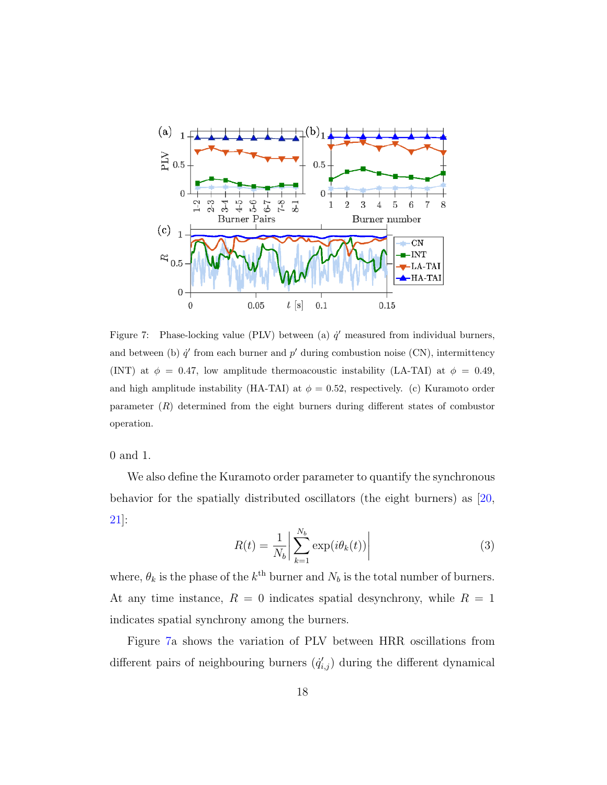

Figure 7: Phase-locking value (PLV) between (a)  $\dot{q}'$  measured from individual burners, and between (b)  $\dot{q}'$  from each burner and  $p'$  during combustion noise (CN), intermittency (INT) at  $\phi = 0.47$ , low amplitude thermoacoustic instability (LA-TAI) at  $\phi = 0.49$ , and high amplitude instability (HA-TAI) at  $\phi = 0.52$ , respectively. (c) Kuramoto order parameter (R) determined from the eight burners during different states of combustor operation.

0 and 1.

We also define the Kuramoto order parameter to quantify the synchronous behavior for the spatially distributed oscillators (the eight burners) as [20, 21]:

$$
R(t) = \frac{1}{N_b} \left| \sum_{k=1}^{N_b} \exp(i\theta_k(t)) \right| \tag{3}
$$

where,  $\theta_k$  is the phase of the  $k^{\text{th}}$  burner and  $N_b$  is the total number of burners. At any time instance,  $R = 0$  indicates spatial desynchrony, while  $R = 1$ indicates spatial synchrony among the burners.

Figure 7a shows the variation of PLV between HRR oscillations from different pairs of neighbouring burners  $(\dot{q}'_{i,j})$  during the different dynamical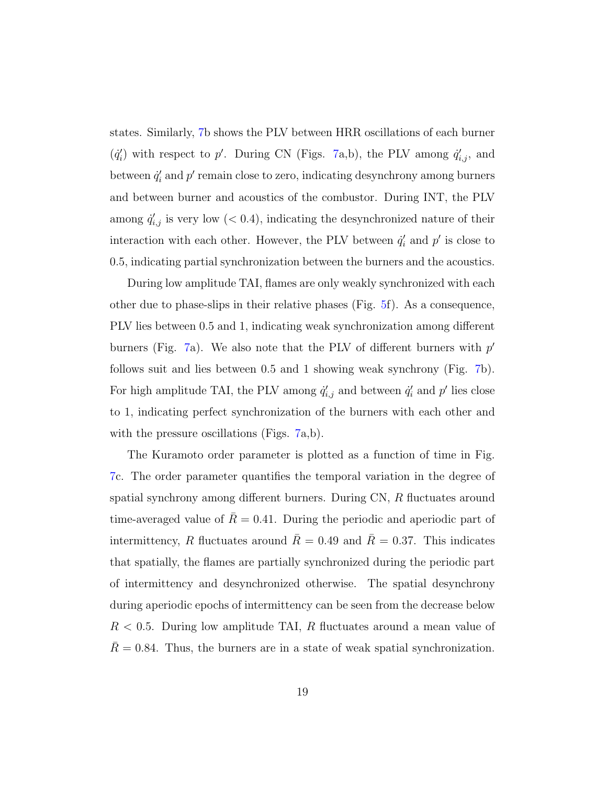states. Similarly, 7b shows the PLV between HRR oscillations of each burner  $(q_i)$ (i) with respect to p'. During CN (Figs. 7a,b), the PLV among  $\dot{q}'_{i,j}$ , and between  $\dot{q}'_i$  $i_i'$  and  $p'$  remain close to zero, indicating desynchrony among burners and between burner and acoustics of the combustor. During INT, the PLV among  $\dot{q}'_{i,j}$  is very low (< 0.4), indicating the desynchronized nature of their interaction with each other. However, the PLV between  $\dot{q}'_i$  $'_{i}$  and  $p'$  is close to 0.5, indicating partial synchronization between the burners and the acoustics.

During low amplitude TAI, flames are only weakly synchronized with each other due to phase-slips in their relative phases (Fig. 5f). As a consequence, PLV lies between 0.5 and 1, indicating weak synchronization among different burners (Fig. 7a). We also note that the PLV of different burners with  $p'$ follows suit and lies between 0.5 and 1 showing weak synchrony (Fig. 7b). For high amplitude TAI, the PLV among  $\dot{q}'_{i,j}$  and between  $\dot{q}'_i$  $'_{i}$  and  $p'$  lies close to 1, indicating perfect synchronization of the burners with each other and with the pressure oscillations (Figs. 7a,b).

The Kuramoto order parameter is plotted as a function of time in Fig. 7c. The order parameter quantifies the temporal variation in the degree of spatial synchrony among different burners. During CN, R fluctuates around time-averaged value of  $\bar{R} = 0.41$ . During the periodic and aperiodic part of intermittency, R fluctuates around  $\bar{R} = 0.49$  and  $\bar{R} = 0.37$ . This indicates that spatially, the flames are partially synchronized during the periodic part of intermittency and desynchronized otherwise. The spatial desynchrony during aperiodic epochs of intermittency can be seen from the decrease below  $R < 0.5$ . During low amplitude TAI, R fluctuates around a mean value of  $\overline{R} = 0.84$ . Thus, the burners are in a state of weak spatial synchronization.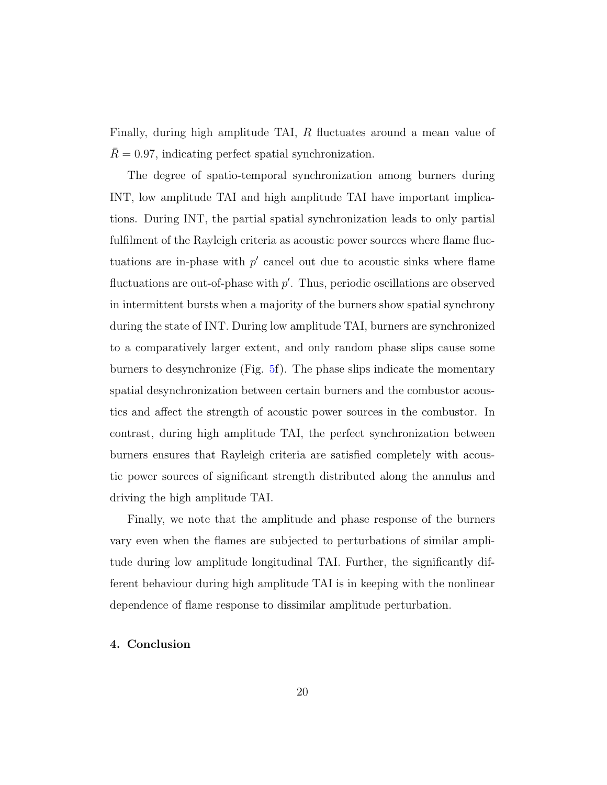Finally, during high amplitude TAI, R fluctuates around a mean value of  $R = 0.97$ , indicating perfect spatial synchronization.

The degree of spatio-temporal synchronization among burners during INT, low amplitude TAI and high amplitude TAI have important implications. During INT, the partial spatial synchronization leads to only partial fulfilment of the Rayleigh criteria as acoustic power sources where flame fluctuations are in-phase with  $p'$  cancel out due to acoustic sinks where flame fluctuations are out-of-phase with  $p'$ . Thus, periodic oscillations are observed in intermittent bursts when a majority of the burners show spatial synchrony during the state of INT. During low amplitude TAI, burners are synchronized to a comparatively larger extent, and only random phase slips cause some burners to desynchronize (Fig. 5f). The phase slips indicate the momentary spatial desynchronization between certain burners and the combustor acoustics and affect the strength of acoustic power sources in the combustor. In contrast, during high amplitude TAI, the perfect synchronization between burners ensures that Rayleigh criteria are satisfied completely with acoustic power sources of significant strength distributed along the annulus and driving the high amplitude TAI.

Finally, we note that the amplitude and phase response of the burners vary even when the flames are subjected to perturbations of similar amplitude during low amplitude longitudinal TAI. Further, the significantly different behaviour during high amplitude TAI is in keeping with the nonlinear dependence of flame response to dissimilar amplitude perturbation.

# 4. Conclusion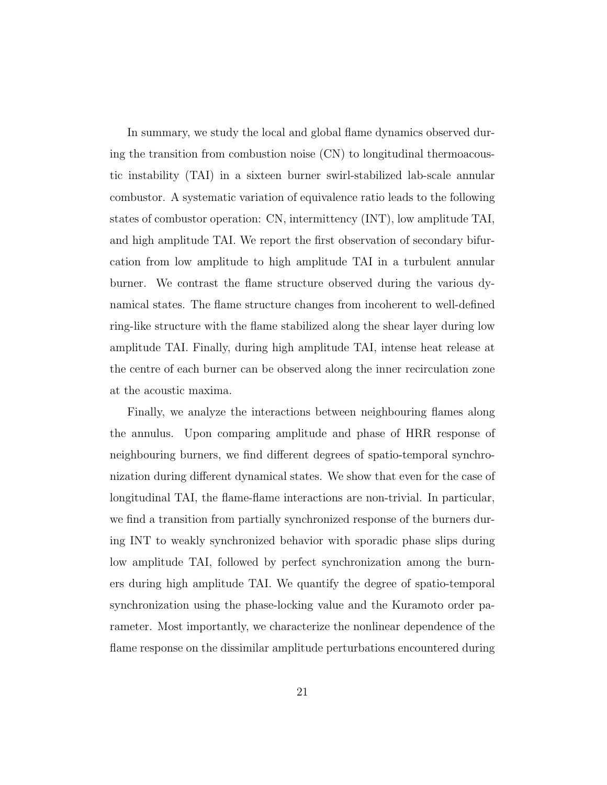In summary, we study the local and global flame dynamics observed during the transition from combustion noise (CN) to longitudinal thermoacoustic instability (TAI) in a sixteen burner swirl-stabilized lab-scale annular combustor. A systematic variation of equivalence ratio leads to the following states of combustor operation: CN, intermittency (INT), low amplitude TAI, and high amplitude TAI. We report the first observation of secondary bifurcation from low amplitude to high amplitude TAI in a turbulent annular burner. We contrast the flame structure observed during the various dynamical states. The flame structure changes from incoherent to well-defined ring-like structure with the flame stabilized along the shear layer during low amplitude TAI. Finally, during high amplitude TAI, intense heat release at the centre of each burner can be observed along the inner recirculation zone at the acoustic maxima.

Finally, we analyze the interactions between neighbouring flames along the annulus. Upon comparing amplitude and phase of HRR response of neighbouring burners, we find different degrees of spatio-temporal synchronization during different dynamical states. We show that even for the case of longitudinal TAI, the flame-flame interactions are non-trivial. In particular, we find a transition from partially synchronized response of the burners during INT to weakly synchronized behavior with sporadic phase slips during low amplitude TAI, followed by perfect synchronization among the burners during high amplitude TAI. We quantify the degree of spatio-temporal synchronization using the phase-locking value and the Kuramoto order parameter. Most importantly, we characterize the nonlinear dependence of the flame response on the dissimilar amplitude perturbations encountered during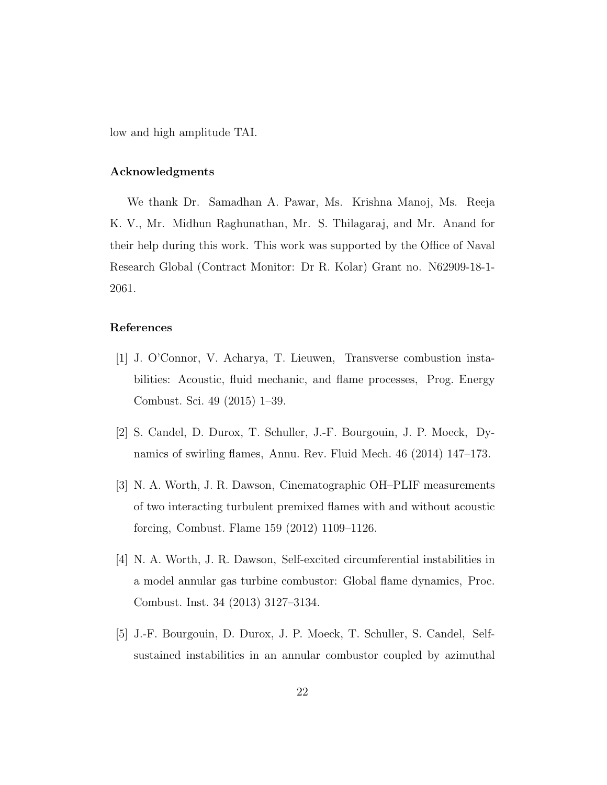low and high amplitude TAI.

## Acknowledgments

We thank Dr. Samadhan A. Pawar, Ms. Krishna Manoj, Ms. Reeja K. V., Mr. Midhun Raghunathan, Mr. S. Thilagaraj, and Mr. Anand for their help during this work. This work was supported by the Office of Naval Research Global (Contract Monitor: Dr R. Kolar) Grant no. N62909-18-1- 2061.

## References

- [1] J. O'Connor, V. Acharya, T. Lieuwen, Transverse combustion instabilities: Acoustic, fluid mechanic, and flame processes, Prog. Energy Combust. Sci. 49 (2015) 1–39.
- [2] S. Candel, D. Durox, T. Schuller, J.-F. Bourgouin, J. P. Moeck, Dynamics of swirling flames, Annu. Rev. Fluid Mech. 46 (2014) 147–173.
- [3] N. A. Worth, J. R. Dawson, Cinematographic OH–PLIF measurements of two interacting turbulent premixed flames with and without acoustic forcing, Combust. Flame 159 (2012) 1109–1126.
- [4] N. A. Worth, J. R. Dawson, Self-excited circumferential instabilities in a model annular gas turbine combustor: Global flame dynamics, Proc. Combust. Inst. 34 (2013) 3127–3134.
- [5] J.-F. Bourgouin, D. Durox, J. P. Moeck, T. Schuller, S. Candel, Selfsustained instabilities in an annular combustor coupled by azimuthal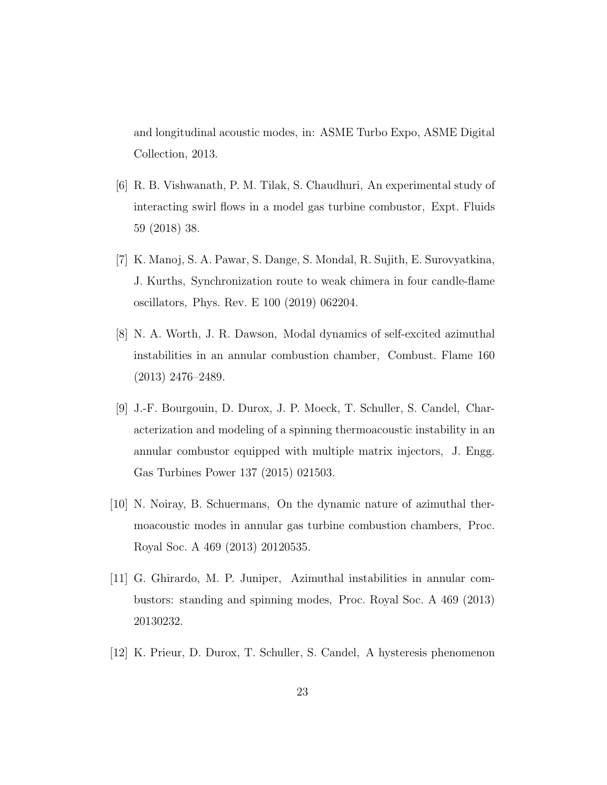and longitudinal acoustic modes, in: ASME Turbo Expo, ASME Digital Collection, 2013.

- [6] R. B. Vishwanath, P. M. Tilak, S. Chaudhuri, An experimental study of interacting swirl flows in a model gas turbine combustor, Expt. Fluids 59 (2018) 38.
- [7] K. Manoj, S. A. Pawar, S. Dange, S. Mondal, R. Sujith, E. Surovyatkina, J. Kurths, Synchronization route to weak chimera in four candle-flame oscillators, Phys. Rev. E 100 (2019) 062204.
- [8] N. A. Worth, J. R. Dawson, Modal dynamics of self-excited azimuthal instabilities in an annular combustion chamber, Combust. Flame 160 (2013) 2476–2489.
- [9] J.-F. Bourgouin, D. Durox, J. P. Moeck, T. Schuller, S. Candel, Characterization and modeling of a spinning thermoacoustic instability in an annular combustor equipped with multiple matrix injectors, J. Engg. Gas Turbines Power 137 (2015) 021503.
- [10] N. Noiray, B. Schuermans, On the dynamic nature of azimuthal thermoacoustic modes in annular gas turbine combustion chambers, Proc. Royal Soc. A 469 (2013) 20120535.
- [11] G. Ghirardo, M. P. Juniper, Azimuthal instabilities in annular combustors: standing and spinning modes, Proc. Royal Soc. A 469 (2013) 20130232.
- [12] K. Prieur, D. Durox, T. Schuller, S. Candel, A hysteresis phenomenon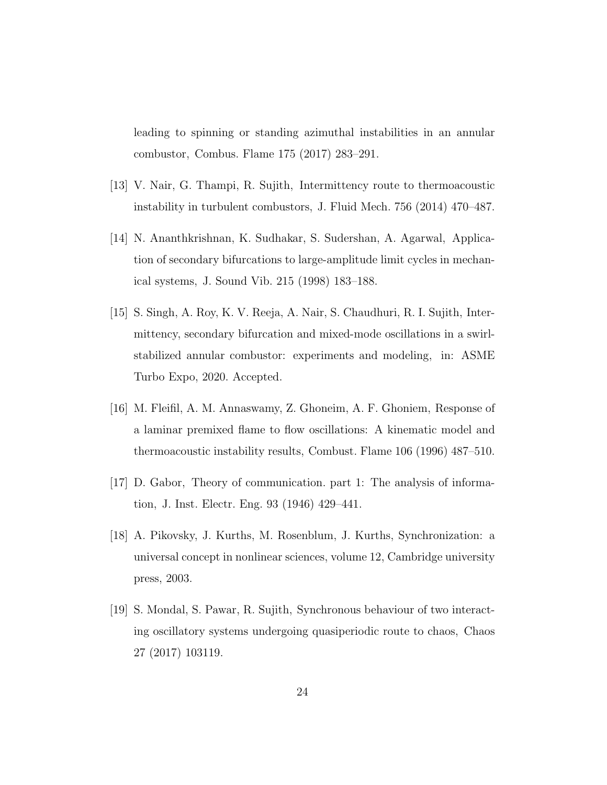leading to spinning or standing azimuthal instabilities in an annular combustor, Combus. Flame 175 (2017) 283–291.

- [13] V. Nair, G. Thampi, R. Sujith, Intermittency route to thermoacoustic instability in turbulent combustors, J. Fluid Mech. 756 (2014) 470–487.
- [14] N. Ananthkrishnan, K. Sudhakar, S. Sudershan, A. Agarwal, Application of secondary bifurcations to large-amplitude limit cycles in mechanical systems, J. Sound Vib. 215 (1998) 183–188.
- [15] S. Singh, A. Roy, K. V. Reeja, A. Nair, S. Chaudhuri, R. I. Sujith, Intermittency, secondary bifurcation and mixed-mode oscillations in a swirlstabilized annular combustor: experiments and modeling, in: ASME Turbo Expo, 2020. Accepted.
- [16] M. Fleifil, A. M. Annaswamy, Z. Ghoneim, A. F. Ghoniem, Response of a laminar premixed flame to flow oscillations: A kinematic model and thermoacoustic instability results, Combust. Flame 106 (1996) 487–510.
- [17] D. Gabor, Theory of communication. part 1: The analysis of information, J. Inst. Electr. Eng. 93 (1946) 429–441.
- [18] A. Pikovsky, J. Kurths, M. Rosenblum, J. Kurths, Synchronization: a universal concept in nonlinear sciences, volume 12, Cambridge university press, 2003.
- [19] S. Mondal, S. Pawar, R. Sujith, Synchronous behaviour of two interacting oscillatory systems undergoing quasiperiodic route to chaos, Chaos 27 (2017) 103119.